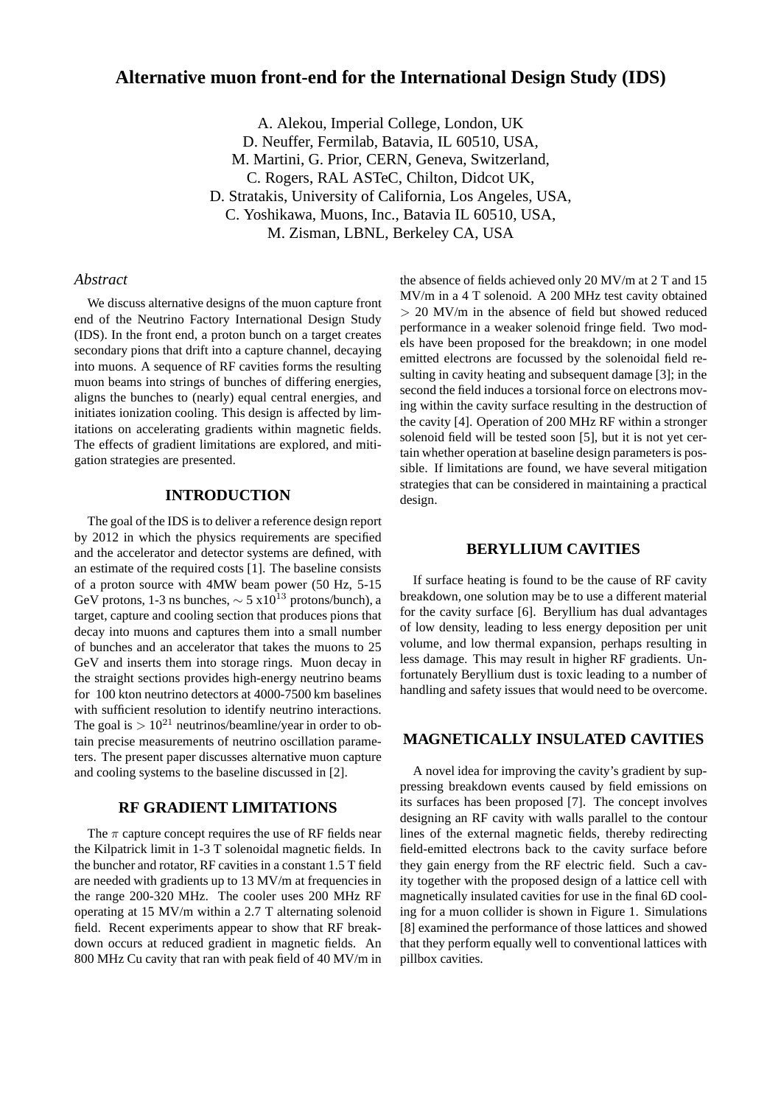# **Alternative muon front-end for the International Design Study (IDS)**

A. Alekou, Imperial College, London, UK D. Neuffer, Fermilab, Batavia, IL 60510, USA, M. Martini, G. Prior, CERN, Geneva, Switzerland, C. Rogers, RAL ASTeC, Chilton, Didcot UK, D. Stratakis, University of California, Los Angeles, USA, C. Yoshikawa, Muons, Inc., Batavia IL 60510, USA, M. Zisman, LBNL, Berkeley CA, USA

### *Abstract*

We discuss alternative designs of the muon capture front end of the Neutrino Factory International Design Study (IDS). In the front end, a proton bunch on a target creates secondary pions that drift into a capture channel, decaying into muons. A sequence of RF cavities forms the resulting muon beams into strings of bunches of differing energies, aligns the bunches to (nearly) equal central energies, and initiates ionization cooling. This design is affected by limitations on accelerating gradients within magnetic fields. The effects of gradient limitations are explored, and mitigation strategies are presented.

### **INTRODUCTION**

The goal of the IDS is to deliver a reference design report by 2012 in which the physics requirements are specified and the accelerator and detector systems are defined, with an estimate of the required costs [1]. The baseline consists of a proton source with 4MW beam power (50 Hz, 5-15 GeV protons, 1-3 ns bunches,  $\sim 5 \times 10^{13}$  protons/bunch), a target, capture and cooling section that produces pions that decay into muons and captures them into a small number of bunches and an accelerator that takes the muons to 25 GeV and inserts them into storage rings. Muon decay in the straight sections provides high-energy neutrino beams for 100 kton neutrino detectors at 4000-7500 km baselines with sufficient resolution to identify neutrino interactions. The goal is  $> 10^{21}$  neutrinos/beamline/year in order to obtain precise measurements of neutrino oscillation parameters. The present paper discusses alternative muon capture and cooling systems to the baseline discussed in [2].

### **RF GRADIENT LIMITATIONS**

The  $\pi$  capture concept requires the use of RF fields near the Kilpatrick limit in 1-3 T solenoidal magnetic fields. In the buncher and rotator, RF cavities in a constant 1.5 T field are needed with gradients up to 13 MV/m at frequencies in the range 200-320 MHz. The cooler uses 200 MHz RF operating at 15 MV/m within a 2.7 T alternating solenoid field. Recent experiments appear to show that RF breakdown occurs at reduced gradient in magnetic fields. An 800 MHz Cu cavity that ran with peak field of 40 MV/m in

the absence of fields achieved only 20 MV/m at 2 T and 15 MV/m in a 4 T solenoid. A 200 MHz test cavity obtained > 20 MV/m in the absence of field but showed reduced performance in a weaker solenoid fringe field. Two models have been proposed for the breakdown; in one model emitted electrons are focussed by the solenoidal field resulting in cavity heating and subsequent damage [3]; in the second the field induces a torsional force on electrons moving within the cavity surface resulting in the destruction of the cavity [4]. Operation of 200 MHz RF within a stronger solenoid field will be tested soon [5], but it is not yet certain whether operation at baseline design parameters is possible. If limitations are found, we have several mitigation strategies that can be considered in maintaining a practical design.

#### **BERYLLIUM CAVITIES**

If surface heating is found to be the cause of RF cavity breakdown, one solution may be to use a different material for the cavity surface [6]. Beryllium has dual advantages of low density, leading to less energy deposition per unit volume, and low thermal expansion, perhaps resulting in less damage. This may result in higher RF gradients. Unfortunately Beryllium dust is toxic leading to a number of handling and safety issues that would need to be overcome.

## **MAGNETICALLY INSULATED CAVITIES**

A novel idea for improving the cavity's gradient by suppressing breakdown events caused by field emissions on its surfaces has been proposed [7]. The concept involves designing an RF cavity with walls parallel to the contour lines of the external magnetic fields, thereby redirecting field-emitted electrons back to the cavity surface before they gain energy from the RF electric field. Such a cavity together with the proposed design of a lattice cell with magnetically insulated cavities for use in the final 6D cooling for a muon collider is shown in Figure 1. Simulations [8] examined the performance of those lattices and showed that they perform equally well to conventional lattices with pillbox cavities.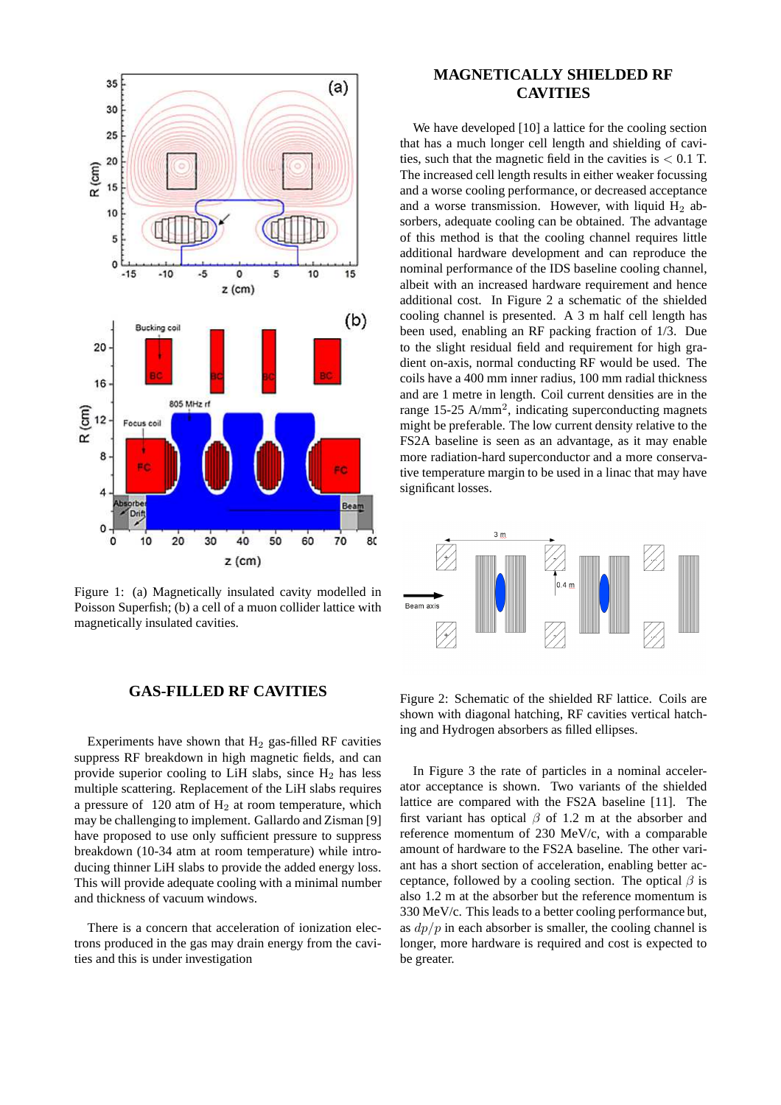

Figure 1: (a) Magnetically insulated cavity modelled in Poisson Superfish; (b) a cell of a muon collider lattice with magnetically insulated cavities.

### **GAS-FILLED RF CAVITIES**

Experiments have shown that  $H_2$  gas-filled RF cavities suppress RF breakdown in high magnetic fields, and can provide superior cooling to LiH slabs, since  $H_2$  has less multiple scattering. Replacement of the LiH slabs requires a pressure of  $120$  atm of  $H<sub>2</sub>$  at room temperature, which may be challenging to implement. Gallardo and Zisman [9] have proposed to use only sufficient pressure to suppress breakdown (10-34 atm at room temperature) while introducing thinner LiH slabs to provide the added energy loss. This will provide adequate cooling with a minimal number and thickness of vacuum windows.

There is a concern that acceleration of ionization electrons produced in the gas may drain energy from the cavities and this is under investigation

# **MAGNETICALLY SHIELDED RF CAVITIES**

We have developed [10] a lattice for the cooling section that has a much longer cell length and shielding of cavities, such that the magnetic field in the cavities is  $< 0.1$  T. The increased cell length results in either weaker focussing and a worse cooling performance, or decreased acceptance and a worse transmission. However, with liquid  $H_2$  absorbers, adequate cooling can be obtained. The advantage of this method is that the cooling channel requires little additional hardware development and can reproduce the nominal performance of the IDS baseline cooling channel, albeit with an increased hardware requirement and hence additional cost. In Figure 2 a schematic of the shielded cooling channel is presented. A 3 m half cell length has been used, enabling an RF packing fraction of 1/3. Due to the slight residual field and requirement for high gradient on-axis, normal conducting RF would be used. The coils have a 400 mm inner radius, 100 mm radial thickness and are 1 metre in length. Coil current densities are in the range 15-25 A/mm<sup>2</sup>, indicating superconducting magnets might be preferable. The low current density relative to the FS2A baseline is seen as an advantage, as it may enable more radiation-hard superconductor and a more conservative temperature margin to be used in a linac that may have significant losses.



Figure 2: Schematic of the shielded RF lattice. Coils are shown with diagonal hatching, RF cavities vertical hatching and Hydrogen absorbers as filled ellipses.

In Figure 3 the rate of particles in a nominal accelerator acceptance is shown. Two variants of the shielded lattice are compared with the FS2A baseline [11]. The first variant has optical  $\beta$  of 1.2 m at the absorber and reference momentum of 230 MeV/c, with a comparable amount of hardware to the FS2A baseline. The other variant has a short section of acceleration, enabling better acceptance, followed by a cooling section. The optical  $\beta$  is also 1.2 m at the absorber but the reference momentum is 330 MeV/c. This leads to a better cooling performance but, as  $dp/p$  in each absorber is smaller, the cooling channel is longer, more hardware is required and cost is expected to be greater.